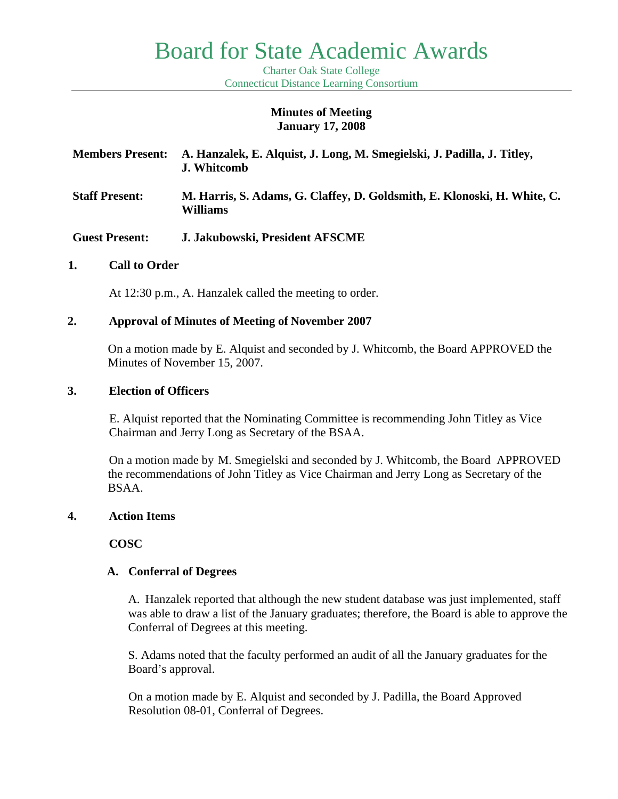# Board for State Academic Awards

Charter Oak State College Connecticut Distance Learning Consortium

#### **Minutes of Meeting January 17, 2008**

| <b>Members Present:</b> | A. Hanzalek, E. Alquist, J. Long, M. Smegielski, J. Padilla, J. Titley,<br><b>J. Whitcomb</b> |
|-------------------------|-----------------------------------------------------------------------------------------------|
| <b>Staff Present:</b>   | M. Harris, S. Adams, G. Claffey, D. Goldsmith, E. Klonoski, H. White, C.<br>Williams          |
| <b>Guest Present:</b>   | J. Jakubowski, President AFSCME                                                               |

#### **1. Call to Order**

At 12:30 p.m., A. Hanzalek called the meeting to order.

#### **2. Approval of Minutes of Meeting of November 2007**

 On a motion made by E. Alquist and seconded by J. Whitcomb, the Board APPROVED the Minutes of November 15, 2007.

#### **3. Election of Officers**

E. Alquist reported that the Nominating Committee is recommending John Titley as Vice Chairman and Jerry Long as Secretary of the BSAA.

 On a motion made by M. Smegielski and seconded by J. Whitcomb, the Board APPROVED the recommendations of John Titley as Vice Chairman and Jerry Long as Secretary of the BSAA.

#### **4. Action Items**

**COSC** 

#### **A. Conferral of Degrees**

A. Hanzalek reported that although the new student database was just implemented, staff was able to draw a list of the January graduates; therefore, the Board is able to approve the Conferral of Degrees at this meeting.

S. Adams noted that the faculty performed an audit of all the January graduates for the Board's approval.

On a motion made by E. Alquist and seconded by J. Padilla, the Board Approved Resolution 08-01, Conferral of Degrees.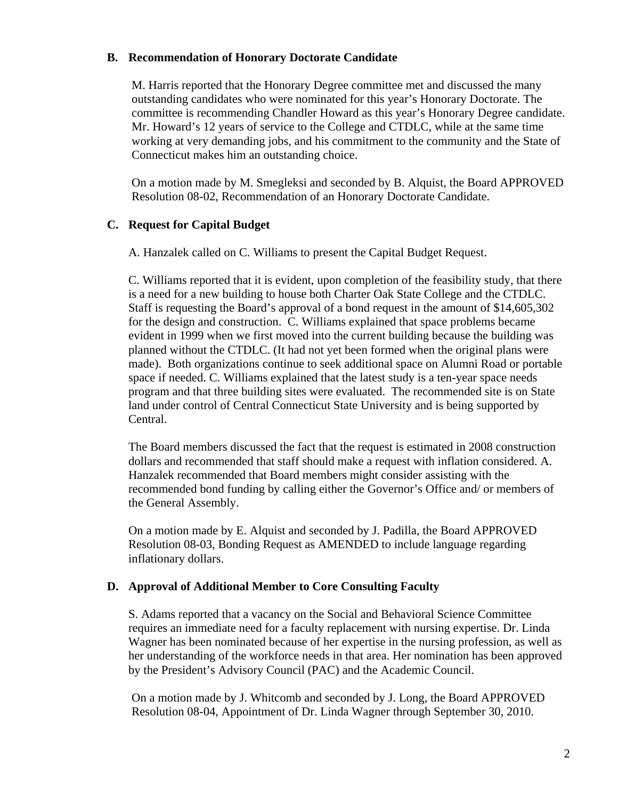#### **B. Recommendation of Honorary Doctorate Candidate**

M. Harris reported that the Honorary Degree committee met and discussed the many outstanding candidates who were nominated for this year's Honorary Doctorate. The committee is recommending Chandler Howard as this year's Honorary Degree candidate. Mr. Howard's 12 years of service to the College and CTDLC, while at the same time working at very demanding jobs, and his commitment to the community and the State of Connecticut makes him an outstanding choice.

On a motion made by M. Smegleksi and seconded by B. Alquist, the Board APPROVED Resolution 08-02, Recommendation of an Honorary Doctorate Candidate.

# **C. Request for Capital Budget**

A. Hanzalek called on C. Williams to present the Capital Budget Request.

C. Williams reported that it is evident, upon completion of the feasibility study, that there is a need for a new building to house both Charter Oak State College and the CTDLC. Staff is requesting the Board's approval of a bond request in the amount of \$14,605,302 for the design and construction. C. Williams explained that space problems became evident in 1999 when we first moved into the current building because the building was planned without the CTDLC. (It had not yet been formed when the original plans were made). Both organizations continue to seek additional space on Alumni Road or portable space if needed. C. Williams explained that the latest study is a ten-year space needs program and that three building sites were evaluated. The recommended site is on State land under control of Central Connecticut State University and is being supported by Central.

The Board members discussed the fact that the request is estimated in 2008 construction dollars and recommended that staff should make a request with inflation considered. A. Hanzalek recommended that Board members might consider assisting with the recommended bond funding by calling either the Governor's Office and/ or members of the General Assembly.

On a motion made by E. Alquist and seconded by J. Padilla, the Board APPROVED Resolution 08-03, Bonding Request as AMENDED to include language regarding inflationary dollars.

# **D. Approval of Additional Member to Core Consulting Faculty**

S. Adams reported that a vacancy on the Social and Behavioral Science Committee requires an immediate need for a faculty replacement with nursing expertise. Dr. Linda Wagner has been nominated because of her expertise in the nursing profession, as well as her understanding of the workforce needs in that area. Her nomination has been approved by the President's Advisory Council (PAC) and the Academic Council.

 On a motion made by J. Whitcomb and seconded by J. Long, the Board APPROVED Resolution 08-04, Appointment of Dr. Linda Wagner through September 30, 2010.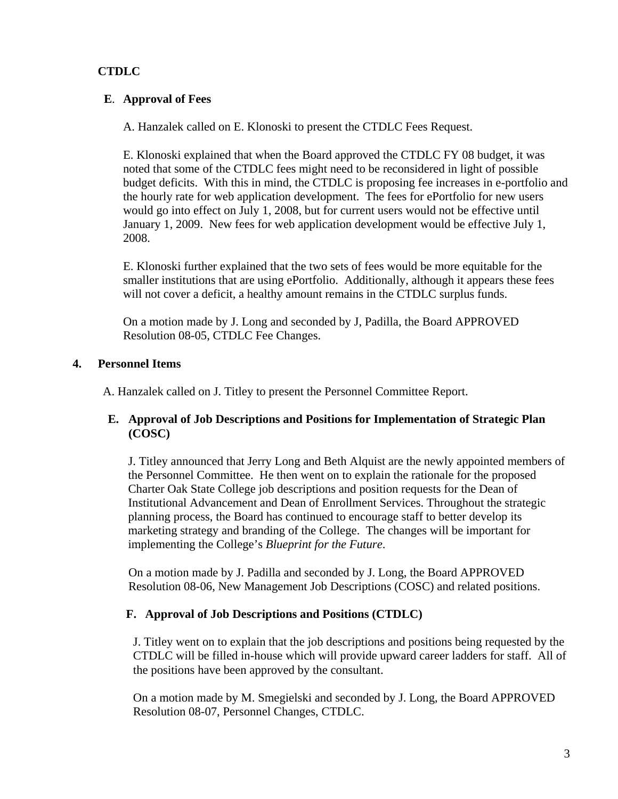# **CTDLC**

# **E**. **Approval of Fees**

A. Hanzalek called on E. Klonoski to present the CTDLC Fees Request.

 E. Klonoski explained that when the Board approved the CTDLC FY 08 budget, it was noted that some of the CTDLC fees might need to be reconsidered in light of possible budget deficits. With this in mind, the CTDLC is proposing fee increases in e-portfolio and the hourly rate for web application development. The fees for ePortfolio for new users would go into effect on July 1, 2008, but for current users would not be effective until January 1, 2009. New fees for web application development would be effective July 1, 2008.

 E. Klonoski further explained that the two sets of fees would be more equitable for the smaller institutions that are using ePortfolio. Additionally, although it appears these fees will not cover a deficit, a healthy amount remains in the CTDLC surplus funds.

 On a motion made by J. Long and seconded by J, Padilla, the Board APPROVED Resolution 08-05, CTDLC Fee Changes.

# **4. Personnel Items**

A. Hanzalek called on J. Titley to present the Personnel Committee Report.

# **E. Approval of Job Descriptions and Positions for Implementation of Strategic Plan (COSC)**

 J. Titley announced that Jerry Long and Beth Alquist are the newly appointed members of the Personnel Committee. He then went on to explain the rationale for the proposed Charter Oak State College job descriptions and position requests for the Dean of Institutional Advancement and Dean of Enrollment Services. Throughout the strategic planning process, the Board has continued to encourage staff to better develop its marketing strategy and branding of the College. The changes will be important for implementing the College's *Blueprint for the Future*.

On a motion made by J. Padilla and seconded by J. Long, the Board APPROVED Resolution 08-06, New Management Job Descriptions (COSC) and related positions.

# **F. Approval of Job Descriptions and Positions (CTDLC)**

J. Titley went on to explain that the job descriptions and positions being requested by the CTDLC will be filled in-house which will provide upward career ladders for staff. All of the positions have been approved by the consultant.

 On a motion made by M. Smegielski and seconded by J. Long, the Board APPROVED Resolution 08-07, Personnel Changes, CTDLC.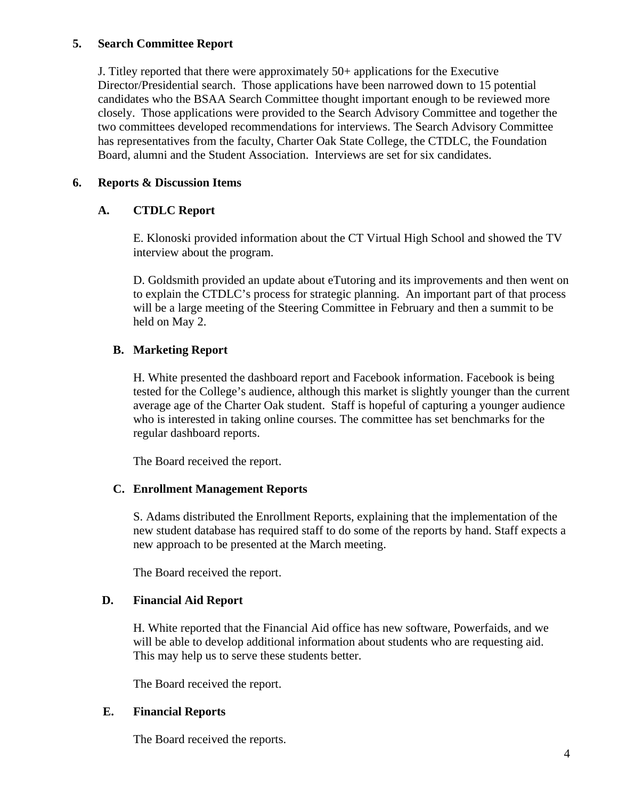#### **5. Search Committee Report**

 J. Titley reported that there were approximately 50+ applications for the Executive Director/Presidential search. Those applications have been narrowed down to 15 potential candidates who the BSAA Search Committee thought important enough to be reviewed more closely. Those applications were provided to the Search Advisory Committee and together the two committees developed recommendations for interviews. The Search Advisory Committee has representatives from the faculty, Charter Oak State College, the CTDLC, the Foundation Board, alumni and the Student Association. Interviews are set for six candidates.

# **6. Reports & Discussion Items**

# **A. CTDLC Report**

 E. Klonoski provided information about the CT Virtual High School and showed the TV interview about the program.

 D. Goldsmith provided an update about eTutoring and its improvements and then went on to explain the CTDLC's process for strategic planning. An important part of that process will be a large meeting of the Steering Committee in February and then a summit to be held on May 2.

# **B. Marketing Report**

 H. White presented the dashboard report and Facebook information. Facebook is being tested for the College's audience, although this market is slightly younger than the current average age of the Charter Oak student. Staff is hopeful of capturing a younger audience who is interested in taking online courses. The committee has set benchmarks for the regular dashboard reports.

The Board received the report.

# **C. Enrollment Management Reports**

 S. Adams distributed the Enrollment Reports, explaining that the implementation of the new student database has required staff to do some of the reports by hand. Staff expects a new approach to be presented at the March meeting.

The Board received the report.

# **D. Financial Aid Report**

H. White reported that the Financial Aid office has new software, Powerfaids, and we will be able to develop additional information about students who are requesting aid. This may help us to serve these students better.

The Board received the report.

# **E. Financial Reports**

The Board received the reports.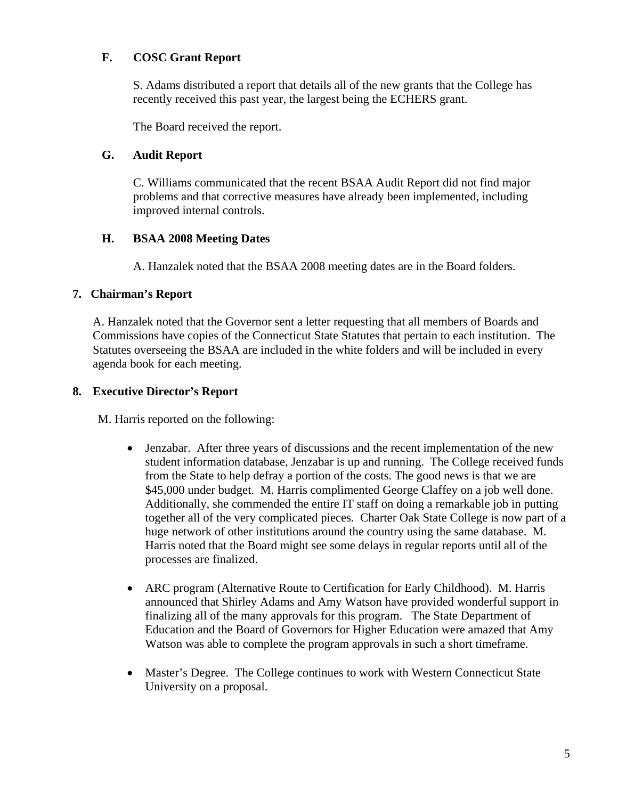# **F. COSC Grant Report**

S. Adams distributed a report that details all of the new grants that the College has recently received this past year, the largest being the ECHERS grant.

The Board received the report.

#### **G. Audit Report**

 C. Williams communicated that the recent BSAA Audit Report did not find major problems and that corrective measures have already been implemented, including improved internal controls.

#### **H. BSAA 2008 Meeting Dates**

A. Hanzalek noted that the BSAA 2008 meeting dates are in the Board folders.

#### **7. Chairman's Report**

A. Hanzalek noted that the Governor sent a letter requesting that all members of Boards and Commissions have copies of the Connecticut State Statutes that pertain to each institution. The Statutes overseeing the BSAA are included in the white folders and will be included in every agenda book for each meeting.

#### **8. Executive Director's Report**

M. Harris reported on the following:

- Jenzabar. After three years of discussions and the recent implementation of the new student information database, Jenzabar is up and running. The College received funds from the State to help defray a portion of the costs. The good news is that we are \$45,000 under budget. M. Harris complimented George Claffey on a job well done. Additionally, she commended the entire IT staff on doing a remarkable job in putting together all of the very complicated pieces. Charter Oak State College is now part of a huge network of other institutions around the country using the same database. M. Harris noted that the Board might see some delays in regular reports until all of the processes are finalized.
- ARC program (Alternative Route to Certification for Early Childhood). M. Harris announced that Shirley Adams and Amy Watson have provided wonderful support in finalizing all of the many approvals for this program. The State Department of Education and the Board of Governors for Higher Education were amazed that Amy Watson was able to complete the program approvals in such a short timeframe.
- Master's Degree. The College continues to work with Western Connecticut State University on a proposal.